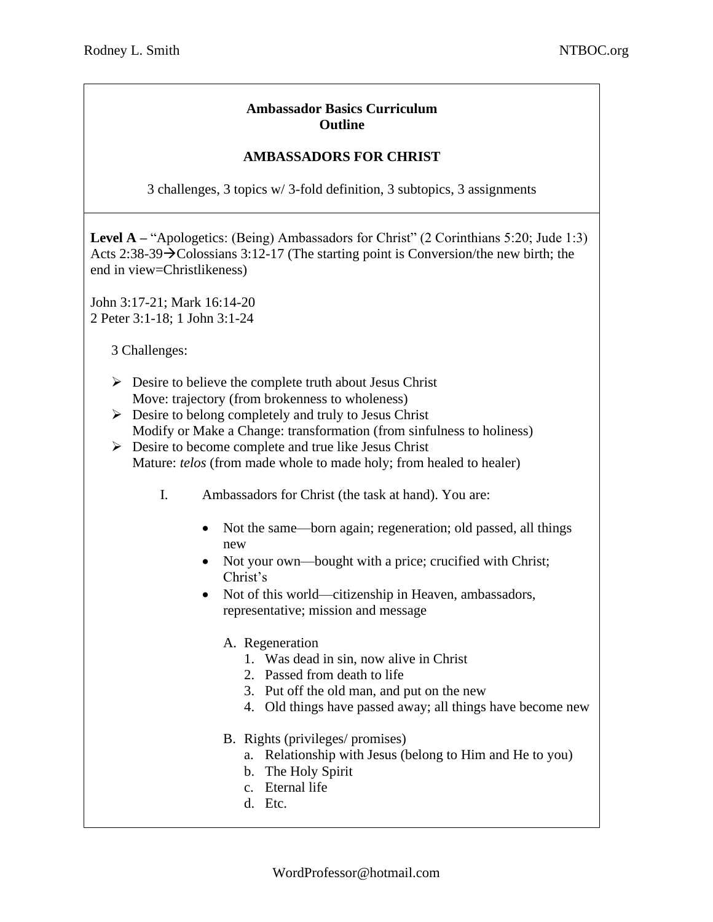## **Ambassador Basics Curriculum Outline**

## **AMBASSADORS FOR CHRIST**

3 challenges, 3 topics w/ 3-fold definition, 3 subtopics, 3 assignments

**Level A** – "Apologetics: (Being) Ambassadors for Christ" (2 Corinthians 5:20; Jude 1:3) Acts 2:38-39→Colossians 3:12-17 (The starting point is Conversion/the new birth; the end in view=Christlikeness)

John 3:17-21; Mark 16:14-20 2 Peter 3:1-18; 1 John 3:1-24

3 Challenges:

- $\triangleright$  Desire to believe the complete truth about Jesus Christ Move: trajectory (from brokenness to wholeness)
- $\triangleright$  Desire to belong completely and truly to Jesus Christ Modify or Make a Change: transformation (from sinfulness to holiness)
- $\triangleright$  Desire to become complete and true like Jesus Christ Mature: *telos* (from made whole to made holy; from healed to healer)
	- I. Ambassadors for Christ (the task at hand). You are:
		- Not the same—born again; regeneration; old passed, all things new
		- Not your own—bought with a price; crucified with Christ; Christ's
		- Not of this world—citizenship in Heaven, ambassadors, representative; mission and message

## A. Regeneration

- 1. Was dead in sin, now alive in Christ
- 2. Passed from death to life
- 3. Put off the old man, and put on the new
- 4. Old things have passed away; all things have become new
- B. Rights (privileges/ promises)
	- a. Relationship with Jesus (belong to Him and He to you)
	- b. The Holy Spirit
	- c. Eternal life
	- d. Etc.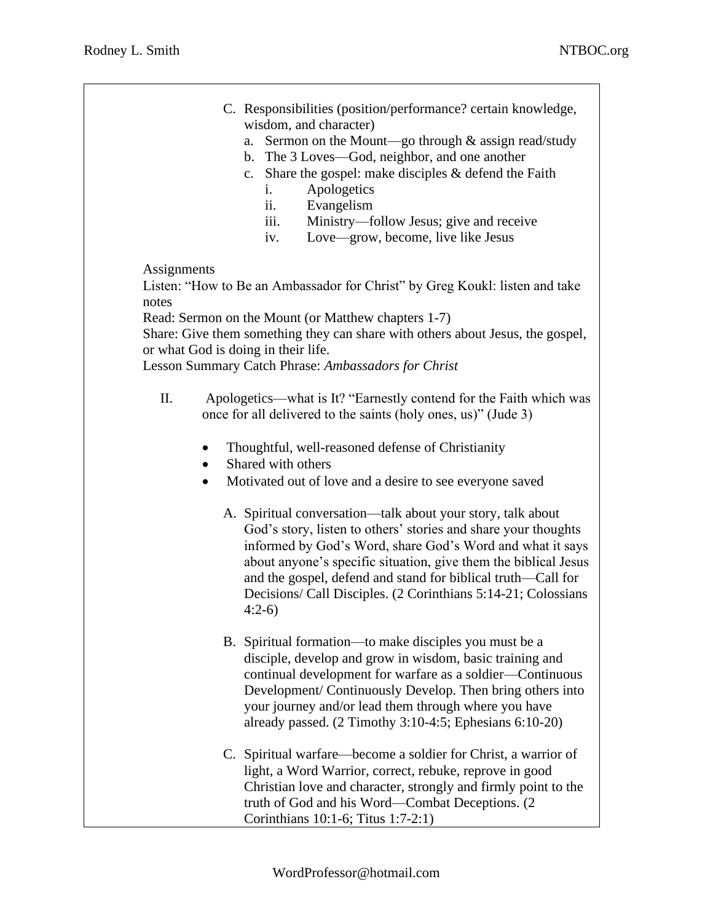- C. Responsibilities (position/performance? certain knowledge, wisdom, and character)
	- a. Sermon on the Mount—go through & assign read/study
	- b. The 3 Loves—God, neighbor, and one another
	- c. Share the gospel: make disciples & defend the Faith
		- i. Apologetics
		- ii. Evangelism
		- iii. Ministry—follow Jesus; give and receive
		- iv. Love—grow, become, live like Jesus

**Assignments** 

 Listen: "How to Be an Ambassador for Christ" by Greg Koukl: listen and take notes

Read: Sermon on the Mount (or Matthew chapters 1-7)

 Share: Give them something they can share with others about Jesus, the gospel, or what God is doing in their life.

Lesson Summary Catch Phrase: *Ambassadors for Christ*

- II. Apologetics—what is It? "Earnestly contend for the Faith which was once for all delivered to the saints (holy ones, us)" (Jude 3)
	- Thoughtful, well-reasoned defense of Christianity
	- Shared with others
	- Motivated out of love and a desire to see everyone saved
		- A. Spiritual conversation—talk about your story, talk about God's story, listen to others' stories and share your thoughts informed by God's Word, share God's Word and what it says about anyone's specific situation, give them the biblical Jesus and the gospel, defend and stand for biblical truth—Call for Decisions/ Call Disciples. (2 Corinthians 5:14-21; Colossians 4:2-6)
		- B. Spiritual formation—to make disciples you must be a disciple, develop and grow in wisdom, basic training and continual development for warfare as a soldier—Continuous Development/ Continuously Develop. Then bring others into your journey and/or lead them through where you have already passed. (2 Timothy 3:10-4:5; Ephesians 6:10-20)
		- C. Spiritual warfare—become a soldier for Christ, a warrior of light, a Word Warrior, correct, rebuke, reprove in good Christian love and character, strongly and firmly point to the truth of God and his Word—Combat Deceptions. (2 Corinthians 10:1-6; Titus 1:7-2:1)